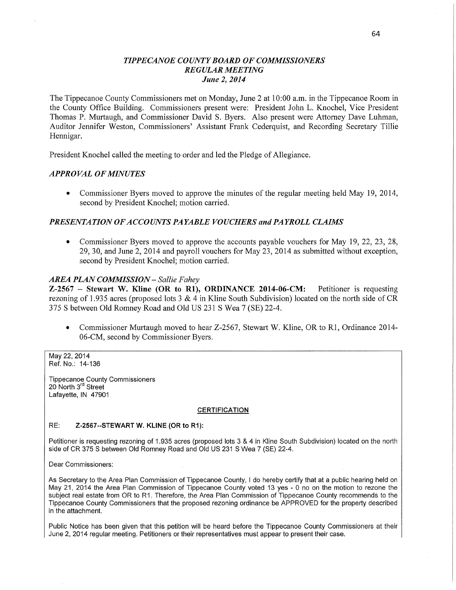### *TIPPECANOE* C0 *UNTY BOARD* OF *COMMISSIONERS TIPPECANOE* C0 *UNTY BOARD* OF *COMMISSIONERS REGULAR MEETING REGULAR MEETING June* 2, *2014 June* 2, *2014*

The Tippecanoe County Commissioners met on Monday, June 2 at **10:00** am. in the Tippecanoe Room in The Tippecanoe County Commissioners met on Monday, June 2 at **10:00** am. in the Tippecanoe Room in the County Office Building. Commissioners present were: President John L. Knochel, Vice President the County Office Building. Commissioners present were: President John L. Knochel, Vice President Thomas P. Murtaugh, and Commissioner David S. Byers. Also present were Attorney Dave Luhman, Thomas P. Murtaugh, and Commissioner David S. Byers. Also present were Attorney Dave Luhman, Auditor Jennifer Weston, Commissioners' Assistant Frank Cederquist, and Recording Secretary Tillie Auditor Jennifer Weston, Commissioners' Assistant Frank Cederquist, and Recording Secretary Tillie Hennigar. Hennigar.

President Knochel called the meeting to order and led the Pledge of Allegiance. President Knochel called the meeting to order and led the Pledge of Allegiance.

#### *APPROVAL* OF *MINUTES APPROVAL* OF *MINUTES*

• Commissioner Byers moved to approve the minutes of the regular meeting held May 19, 2014, second by President Knochel; motion carried. second by President Knochel; motion carried.

#### PRESENTATION OF ACCOUNTS PAYABLE VOUCHERS and PAYROLL CLAIMS

**0** Commissioner Byers moved to approve the accounts payable vouchers for May 19, 22, 23, 28, **0** Commissioner Byers moved to approve the accounts payable vouchers for May 19, 22, 23, 28, 29, 30, and June 2, 2014 and payroll vouchers for May 23, 2014 as submitted without exception, 29, 30, and June 2, 2014 and payroll vouchers for May 23, 2014 as submitted without exception, second by President Knochel; motion carried. second by President Knochel; motion carried.

## *AREA PLAN COMMISSION — Sallie F ahey AREA PLAN COMMISSION — Sallie F ahey*

Z-2567 – Stewart W. Kline (OR to R1), ORDINANCE 2014-06-CM: Petitioner is requesting rezoning of 1.935 acres (proposed lots 3 & 4 in Kline South Subdivision) located on the north side of CR rezoning of 1.935 acres (proposed lots 3 & 4 in Kline South Subdivision) located on the north side of CR 375 **S** between Old Romney Road and Old US 231 S Wea **7** (SE) 22-4. 375 **S** between Old Romney Road and Old US 231 S Wea **7** (SE) 22-4.

**•** Commissioner Murtaugh moved to hear Z-2567, Stewart W. Kline, OR to R1, Ordinance 2014-06—CM, second by Commissioner Byers. 06—CM, second by Commissioner Byers.

May 22, 2014 May 22, 2014 Ref. No.: **14-136**  Ref. No.: **14-136** 

Tippecanoe County **Commissioners**  Tippecanoe County **Commissioners** 20 North 3'" **Street**  20 North 3'" **Street** Lafayette, IN 47901 Lafayette, IN 47901

#### CERTIFICATION CERTIFICATION

#### RE: **Z-2567--STEWART** W. KLINE (OR to **R1):**  RE: **Z-2567--STEWART** W. KLINE (OR to **R1):**

Petitioner is requesting rezoning of 1.935 acres (proposed lots 3 & 4 in Kline South Subdivision) located on the north | **side** of CR 375 8 between Old Romney Road and Old US 231 S Wea 7 (SE) 22-4. **side** of CR 375 8 between Old Romney Road and Old US 231 S Wea 7 (SE) 22-4.

Dear Commissioners: Dear Commissioners:

As Secretary to the Area Plan Commission of Tippecanoe County, I do hereby certify that at a public hearing held on May 21, 2014 the Area Plan Commission of Tippecanoe County voted 13 yes - 0 no on the motion to rezone the  $\mid$ subject real estate from OR to R1. Therefore, the Area Plan Commission of Tippecanoe County recommends to the  $\,|\,$ Tippecanoe County Commissioners that the proposed rezoning ordinance be APPROVED for the property described | in the attachment. in the attachment.

Public Notice has been given that this petition will be heard before the Tippecanoe County Commissioners at their | June 2, 2014 regular meeting. Petitioners or their representatives **must** appear to present their case. June 2, 2014 regular meeting. Petitioners or their representatives **must** appear to present their case.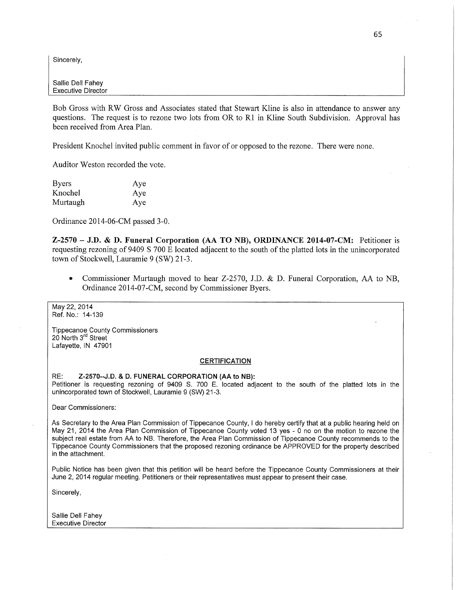Sincerely, Sincerely,

SaIIie Dell Fahey SaIIie Dell Fahey Executive Director Executive Director

Bob Gross with RW Gross and Associates stated that Stewart Kline is also in attendance to answer any Bob Gross with RW Gross and Associates stated that Stewart Kline is also in attendance to answer any questions. The request is to rezone two lots from OR to R1 in Kline South Subdivision. Approval has questions. The request is to rezone two lots from OR to R1 in Kline South Subdivision. Approval has been received from Area Plan. been received from Area Plan.

President Knochel invited public comment in favor of or opposed to the rezone. There were **none.**  President Knochel invited public comment in favor of or opposed to the rezone. There were **none.** 

Auditor Weston recorded the vote. Auditor Weston recorded the vote.

| <b>Byers</b> | Aye |
|--------------|-----|
| Knochel      | Aye |
| Murtaugh     | Aye |

Ordinance 2014-06-CM passed 3-0. Ordinance 2014-06-CM passed 3-0.

Z-2570 – J.D. & D. Funeral Corporation (AA TO NB), ORDINANCE 2014-07-CM: Petitioner is requesting rezoning of 9409 S 700 E located adjacent to the south of the platted lots in the unincorporated requesting rezoning of 9409 S 700 E located adjacent to the south of the platted lots in the unincorporated town of Stockwell, Lauramie 9 (SW) 21-3. town of Stockwell, Lauramie 9 (SW) 21-3.

**•** Commissioner Murtaugh moved to hear Z-2570, J.D. & D. Funeral Corporation, AA to NB, Ordinance 2014-07-CM, second by Commissioner **Byers.**  Ordinance 2014-07-CM, second by Commissioner **Byers.** 

May 22, 2014 May 22, 2014 Ref. No.: 14-139 Ref. No.: 14-139

Tippecanoe **County Commlssloners**  Tippecanoe **County Commlssloners** 20 North 3rd Street 20 North 3<sup>rd</sup> Street Lafayette, IN 47901 Lafayette, IN 47901

#### CERTIFICATION CERTIFICATION

RE: Z-2570--J.D. **&** D. **FUNERAL CORPORATION** (AA to **NB):**  RE: Z-2570--J.D. **&** D. **FUNERAL CORPORATION** (AA to **NB):** Petitioner is requesting rezoning of 9409 S. 700 E. located adjacent to the south of the platted lots in the  $\mid$ unincorporated town of Stockwell, Lauramie 9 (SW) 21-3. unincorporated town of Stockwell, Lauramie 9 (SW) 21-3.

Dear **Commissioners:**  Dear **Commissioners:** 

As Secretary to the Area Plan Commission of Tippecanoe County, I do hereby certify that at a public hearing held on | May 21, 2014 the Area Plan Commission of Tippecanoe County voted 13 yes - 0 no on the motion to rezone the  $\mid$ subject real estate from AA to NB. Therefore, the Area Plan Commission of Tippecanoe County recommends to the  $\mid$ Tippecanoe County Commissioners that the proposed rezoning ordinance be APPROVED for the property described  $\,|\,$ in the attachment. in the attachment.

Public Notice has been given that this petition will be heard before the Tippecanoe County Commissioners at their | June 2, 2014 regular meeting. Petitioners or their representatives must appear to present their case.<br>Sincerely,

Sincerely,

**Sallie** Dell **Fahey Sallie** Dell **Fahey** Executive Director Executive Director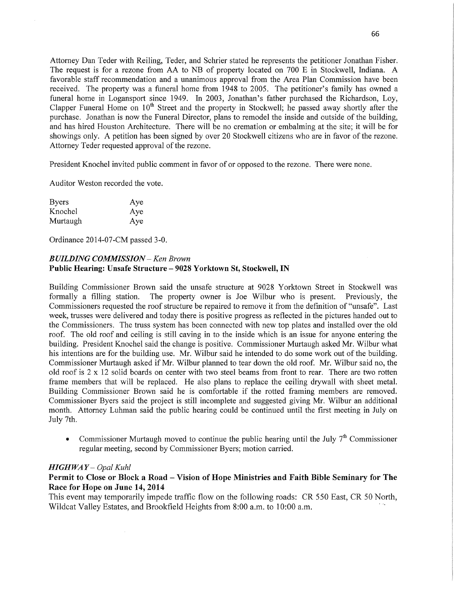Attorney Dan Teder with Reiling, Teder, and Schrier stated he represents the petitioner Jonathan Fisher. Attorney Dan Teder with Reiling, Teder, and Schrier stated he represents the petitioner Jonathan Fisher. The request is for <sup>a</sup>rezone from AA to NB of property located on 700 E in Stockwell, Indiana. **A**  The request is for a rezone from AA to NB of property located on 700 E in Stockwell, Indiana. **A** favorable staff recommendation and a unanimous approval from the Area Plan Commission have been favorable staff recommendation and a unanimous approval from the Area Plan Commission have been received. The property was a funeral home from 1948 to 2005. The petitioner's family has owned a funeral home in Logansport since 1949. In 2003, Jonathan *s* father purchased the Richardson, Loy, funeral home in Logansport since 1949. In 2003, Jonathan *s* father purchased the Richardson, Loy, Clapper Funeral Home on 10<sup>th</sup> Street and the property in Stockwell; he passed away shortly after the purchase. Jonathan is now the Funeral Director, plans to remodel the inside and outside of the building, and has hired Houston Architecture. There will be no cremation or embalming at the site; it will be for and has hired Houston Architecture. There will be no cremation or embalming at the site; it will be for showings only. A petition has **been** signed by over 20 Stockwell citizens who are in favor of the rezone. showings only. A petition has **been** signed by over 20 Stockwell citizens who are in favor of the rezone. Attorney Teder requested approval of the rezone. Attorney Teder requested approval of the rezone.

President Knochel invited public comment in favor of or opposed to the rezone. There were none. President Knochel invited public comment in favor of or opposed to the rezone. There were none.

Auditor Weston recorded the vote. Auditor Weston recorded the vote.

| <b>Byers</b> | Aye |
|--------------|-----|
| Knochel      | Aye |
| Murtaugh     | Aye |

Ordinance 2014-07-CM passed 3-0. Ordinance 2014-07-CM passed 3-0.

## *BUILDING COMMISSION —* Ken *Brown BUILDING COMMISSION —* Ken *Brown* **Public Hearing: Unsafe Structure** *—* **9028 Yorktown** St, Stockwell, IN **Public Hearing: Unsafe Structure** *—* **9028 Yorktown** St, Stockwell, IN

Building Commissioner Brown said the unsafe structure at 9028 Yorktown Street in Stockwell was Building Commissioner Brown said the unsafe structure at 9028 Yorktown Street in Stockwell was formally a filling station. The property owner is Joe Wilbur who is present. Previously, the formally a filling station. The property owner is Joe Wilbur who is present. Previously, the Commissioners requested the roof structure be repaired to remove it from the definition of "unsafe". Last Commissioners requested the roof structure be repaired to remove it from the definition of "unsafe". Last week, trusses were delivered and today there is positive progress as reflected in the pictures handed out to the Commissioners. The truss system has been connected with new top plates and installed over the old the Commissioners. The truss system has been connected with new top plates and installed over the old roof. The old roof and ceiling is still caving in to the inside which is an issue for anyone entering the building. President Knochel said the change is positive. Commissioner Murtaugh asked Mr. Wilbur what building. President Knochel said the change is positive. Commissioner Murtaugh asked Mr. Wilbur what his intentions are for the building use. Mr. Wilbur said he intended to do some work out of the building. his intentions are for the building use. Mr. Wilbur said he intended to do some work out of the building. Commissioner Murtaugh asked if Mr. Wilbur planned to tear down the old roof. Mr. Wilbur said no, the old roof is 2 x 12 solid boards on center with two steel beams from front to rear. There are two rotten frame members that will be replaced. He also plans to replace the ceiling drywall with sheet metal. frame members that will be replaced. He also plans to replace the ceiling drywall with sheet metal. Building Commissioner Brown said he is comfortable if the rotted framing members are removed. Building Commissioner Brown said he is comfortable if the rotted framing members are removed. Commissioner Byers said the project is still incomplete and suggested giving Mr. Wilbur an additional Commissioner Byers said the project is still incomplete and suggested giving Mr. Wilbur an additional month. Attorney Luhman said the public hearing could be continued until the first meeting in July on month. Attorney Luhman said the public hearing could be continued until the first meeting in July on July 7th. July 7th.

• Commissioner Murtaugh moved to continue the public hearing until the July 7<sup>th</sup> Commissioner regular meeting, second by Commissioner Byers; motion carried. regular meeting, second by Commissioner Byers; motion carried.

## *HIGHWAY* - *Opal Kuhl HIGHWAY* - *Opal Kuhl*

## Permit to Close or Block a Road – Vision of Hope Ministries and Faith Bible Seminary for The **Race** for **Hope** on **June** 14, **2014 Race** for **Hope** on **June** 14, **2014**

This event may temporarily impede traffic flow on the following roads: CR 550 East, CR 50 North, Wildcat Valley Estates, and Brookfield Heights from 8:00 a. m. to 10:00 a. m. Wildcat Valley Estates, and Brookfield Heights from 8:00 a. m. to 10:00 a. m.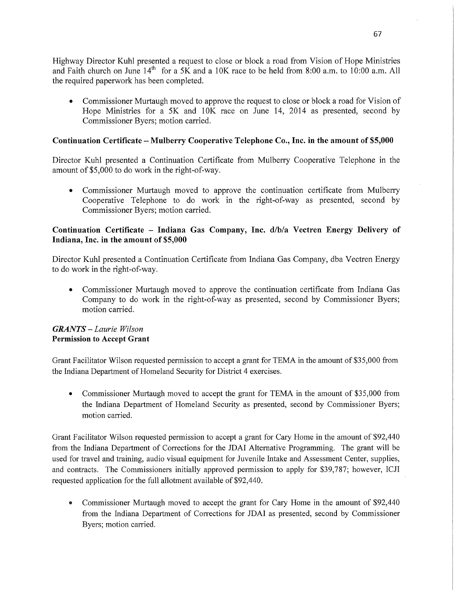Highway Director Kuhl presented <sup>a</sup>request to close or block a road from Vision of Hope Ministries Highway Director Kuhl presented a request to close or block a road from Vision of Hope Ministries and Faith church on June 14th for a 5K and a 10K race to be held from 8:00 am. to **10:00** am. All and Faith church on June 14th for a 5K and a 10K race to be held from 8:00 am. to **10:00** am. All the required paperwork has been completed. the required paperwork has been completed.

• Commissioner Murtaugh moved to approve the request to close or block a road for Vision of Hope Ministries for a 5K and 10K race on June 14, 2014 as presented, second by Hope Ministries for a 5K and 10K race on June 14, 2014 as presented, second by Commissioner Byers; motion carried. Commissioner Byers; motion carried.

# Continuation Certificate – Mulberry Cooperative Telephone Co., Inc. in the amount of \$5,000

Director Kuhl presented a Continuation Certificate from Mulberry Cooperative Telephone in the Director Kuhl presented a Continuation Certificate from Mulberry Cooperative Telephone in the amount of \$5,000 to do work in the right-of-way. amount of \$5,000 to do work in the right-of-way.

**0** Commissioner Murtaugh moved to approve the continuation certificate from Mulberry Cooperative Telephone to do work in the right-of-way as presented, second by Cooperative Telephone to do work in the right-of-way as presented, second by Commissioner Byers; motion carried. Commissioner Byers; motion carried.

## Continuation Certificate – Indiana Gas Company, Inc. d/b/a Vectren Energy Delivery of Indiana, **Inc.** in the amount of **\$5,000**  Indiana, **Inc.** in the amount of **\$5,000**

Director Kuhl presented a Continuation Certificate from Indiana Gas Company, dba Vectren Energy Director Kuhl presented a Continuation Certificate from Indiana Gas Company, dba Vectren Energy to do work in the right-of—way. to do work in the right-of—way.

• Commissioner Murtaugh moved to approve the continuation certificate from Indiana Gas Company to do work in the right-of-way as presented, second by Commissioner Byers; Company to do work in the right-of-way as presented, second by Commissioner Byers; motion carried. motion carried.

## *GRANTS — Laurie Wilson GRANTS — Laurie Wilson* **Permission** to **Accept Grant Permission** to **Accept Grant**

Grant Facilitator Wilson requested permission to accept <sup>a</sup>grant for TEMA in the amount of \$35,000 from Grant Facilitator Wilson requested permission to accept a grant for TEMA in the amount of \$35,000 from the Indiana Department of Homeland Security for District 4 exercises. the Indiana Department of Homeland Security for District 4 exercises.

**-** Commissioner Murtaugh moved to accept the grant for TEMA in the amount of \$35,000 from **-** Commissioner Murtaugh moved to accept the grant for TEMA in the amount of \$35,000 from the Indiana Department of Homeland Security as presented, second by Commissioner Byers; the Indiana Department of Homeland Security as presented, second by Commissioner Byers; motion carried. motion carried.

Grant Facilitator Wilson requested permission to accept a grant for Cary Home in the amount of \$92,440 Grant Facilitator Wilson requested permission to accept a grant for Cary Home in the amount of \$92,440 from the Indiana Department of Corrections for the IDAI Alternative Programming. The grant will be from the Indiana Department of Corrections for the IDAI Alternative Programming. The grant will be used for travel and training, audio Visual equipment for Juvenile Intake and Assessment Center, supplies, used for travel and training, audio Visual equipment for Juvenile Intake and Assessment Center, supplies, and contracts. The Commissioners initially approved permission to apply for \$39,787; however, ICJI and contracts. The Commissioners initially approved permission to apply for \$39,787; however, ICJI requested application for the full allotment available of \$92,440. ' requested application for the full allotment available of \$92,440. '

• Commissioner Murtaugh moved to accept the grant for Cary Home in the amount of \$92,440 from the Indiana Department of Corrections for IDAI as presented, second by Commissioner from the Indiana Department of Corrections for IDAI as presented, second by Commissioner Byers; motion carried. Byers; motion carried.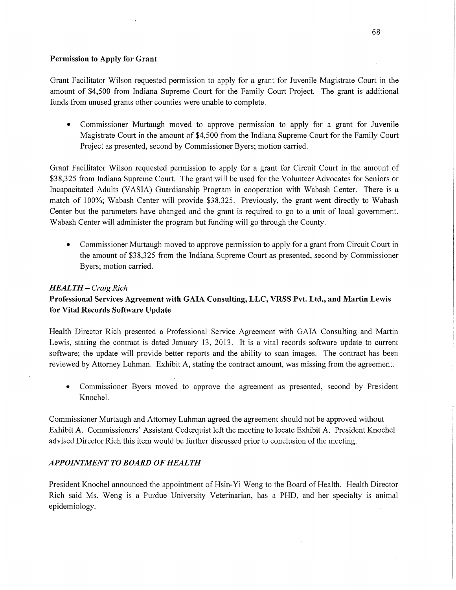## **Permission** to **Apply** for Grant **Permission** to **Apply** for Grant

Grant Facilitator Wilson requested permission to apply for <sup>a</sup>grant for Juvenile Magistrate Court in the Grant Facilitator Wilson requested permission to apply for a grant for Juvenile Magistrate Court in the amount of \$4,500 from Indiana Supreme Court for the Family Court Project. The grant is additional amount of \$4,500 from Indiana Supreme Court for the Family Court Project. The grant is additional funds from unused grants other counties were unable to complete. funds from unused grants other counties were unable to complete.

• Commissioner Murtaugh moved to approve permission to apply for a grant for Juvenile Magistrate Court in the amount of \$4,500 from the Indiana Supreme Court for the Family Court Magistrate Court in the amount of \$4,500 from the Indiana Supreme Court for the Family Court Project as presented, second by Commissioner Byers; motion carried. Project as presented, second by Commissioner Byers; motion carried.

Grant Facilitator Wilson requested permission to apply for <sup>a</sup>grant for Circuit Court in the amount of Grant Facilitator Wilson requested permission to apply for a grant for Circuit Court in the amount of \$38,325 from Indiana Supreme Court. The grant will be used for the Volunteer Advocates for Seniors or Incapacitated Adults **(VASIA)** Guardianship Program in COOperation with Wabash Center. There is <sup>a</sup> Incapacitated Adults **(VASIA)** Guardianship Program in COOperation with Wabash Center. There is a match of 100%; Wabash Center will provide \$38,325. Previously, the grant went directly to Wabash match of 100%; Wabash Center will provide \$38,325. Previously, the grant went directly to Wabash Center but the parameters have changed and the grant is required to go to a unit of local government. Center but the parameters have changed and the grant is required to go to a unit of local government. Wabash Center will administer the program but funding will go through the County. Wabash Center will administer the program but funding will go through the County.

• Commissioner Murtaugh moved to approve permission to apply for a grant from Circuit Court in the amount of \$3 8,325 from the Indiana Supreme Court as presented, second by Commissioner the amount of \$3 8,325 from the Indiana Supreme Court as presented, second by Commissioner Byers; motion carried. Byers; motion carried.

## *HEALTH — Craig Rich HEALTH — Craig Rich*

# Professional Services Agreement with GAIA Consulting, LLC, VRSS Pvt. Ltd., and Martin Lewis for Vital **Records Software Update**  for Vital **Records Software Update**

Health Director Rich presented a Professional Service Agreement with GAIA Consulting and Martin Health Director Rich presented a Professional Service Agreement with GAIA Consulting and Martin Lewis, stating the contract is dated January 13, 2013. It is a Vital records software update to current Lewis, stating the contract is dated January 13, 2013. It is a Vital records software update to current software; the update will provide better reports and the ability to scan images. The contract has **been**  software; the update will provide better reports and the ability to scan images. The contract has **been** reviewed by Attorney Luhman. Exhibit A, stating the contract amount, was missing from the agreement. reviewed by Attorney Luhman. Exhibit A, stating the contract amount, was missing from the agreement.

• Commissioner Byers moved to approve the agreement as presented, second by President Knochel. Knochel.

Commissioner Murtaugh and Attorney Luhman agreed the agreement should not be approved without Commissioner Murtaugh and Attorney Luhman agreed the agreement should not be approved without Exhibit A. Commissioners' Assistant Cederquist left the meeting to locate Exhibit A. President Knochel Exhibit A. Commissioners' Assistant Cederquist left the meeting to locate Exhibit A. President Knochel advised Director Rich this item. would be further discussed prior to conclusion of the meeting. advised Director Rich this item. would be further discussed prior to conclusion of the meeting.

### *APPOINTMENT T 0 BOARD* OF *HEALTH APPOINTMENT T 0 BOARD* OF *HEALTH*

President Knochel announced the appointment of Hsin-Yi Weng to the Board of Health. Health Director President Knochel announced the appointment of Hsin-Yi Weng to the Board of Health. Health Director Rich said Ms. Weng is a Purdue University Veterinarian, has a PHD, and her specialty is animal Rich said Ms. Weng is a Purdue University Veterinarian, has a PHD, and her specialty is animal epidemiology. epidemiology.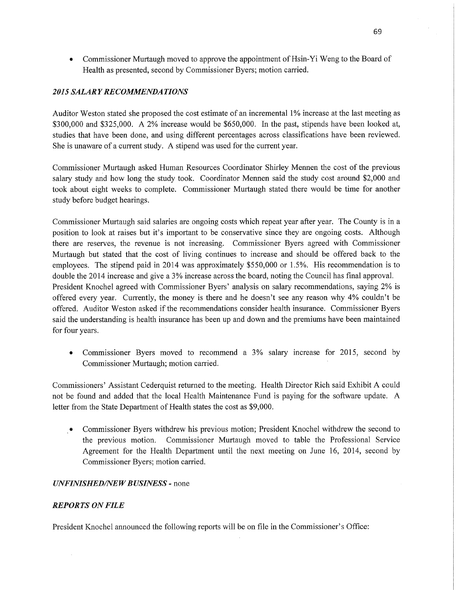• Commissioner Murtaugh moved to approve the appointment of Hsin-Yi Weng to the Board of Health as presented, second by Commissioner Byers; motion carried. Health as presented, second by Commissioner Byers; motion carried.

## *2015 SALARY* RE *COMMENDA TIONS 2015 SALARY* RE *COMMENDA TIONS*

Auditor Weston stated she proposed the cost estimate of an incremental 1% increase at the last meeting as Auditor Weston stated she proposed the cost estimate of an incremental 1% increase at the last meeting as \$300,000 and \$325,000. A 2% increase would be \$650,000. In the past, stipends have been looked at, \$300,000 and \$325,000. A 2% increase would be \$650,000. In the past, stipends have been looked at, studies that have been done, and using different percentages across classifications have been reviewed. studies that have been done, and using different percentages across classifications have been reviewed. She is unaware of a current study. A stipend was used for the current year.

Commissioner Murtaugh asked Human Resources Coordinator Shirley Mennen the cost of the previous salary study and how long the study took. Coordinator **Mennen** said the study cost around \$2,000 and salary study and how long the study took. Coordinator **Mennen** said the study cost around \$2,000 and took about eight weeks to complete. Commissioner Murtaugh stated there would be time for another took about eight weeks to complete. Commissioner Murtaugh stated there would be time for another study before budget hearings. study before budget

Commissioner Murtaugh said salaries are ongoing costs which repeat year after year. The County is in <sup>a</sup> Commissioner Murtaugh said salaries are ongoing costs which repeat year after year. The County is in a position to look at raises but it's important to be conservative since they are ongoing costs. Although position to look at raises but it's important to be conservative since they are ongoing costs. Although there are reserves, the revenue is not increasing. Commissioner Byers agreed with Commissioner there are reserves, the revenue is not increasing. Commissioner Byers agreed with Commissioner Murtaugh but stated that the cost of living continues to increase and should be offered back to the Murtaugh but stated that the cost of living continues to increase and should be offered back to the employees. The stipend paid in 2014 was approximately \$550,000 or 1.5%. His recommendation is to double the 2014 increase and give a 3% increase across the board, noting the Council has final approval. double the 2014 increase and give a 3% increase across the board, noting the Council has final approval. President Knochel agreed with Commissioner Byers' analysis on salary recommendations, saying 2% is President Knochel agreed with Commissioner Byers' analysis on salary recommendations, saying 2% is offered every year. Currently, the money is there and he doesn't see any reason why 4% couldn't be offered. Auditor Weston asked if the recommendations consider health insurance. Commissioner Byers offered. Auditor Weston asked if the recommendations consider health insurance. Commissioner Byers said the understanding is health insurance has been up and down and the premiums have been maintained for four years.

• Commissioner Byers moved to recommend a 3% salary increase for 2015, second by Commissioner Murtaugh; motion carried. ' Commissioner Murtaugh; motion carried. '

Commissioners' Assistant Cederquist returned to the meeting. Health Director Rich said Exhibit A could Commissioners' Assistant Cederquist returned to the meeting. Health Director Rich said Exhibit A could not be found and added that the local Health Maintenance Fund is paying for the software update. A not be found and added that the local Health Maintenance Fund is paying for the software update. A letter from the State Department of Health states the cost as \$9,000. letter the State Department of Health states the cost as \$9,000.

\_0 Commissioner Byers withdrew his previous motion; President Knochel withdrew the second to the previous motion. Commissioner Murtaugh moved to table the Professional Service the previous motion. Commissioner Murtaugh moved to table the Professional Service Agreement for the Health Department until the next meeting on June 16, 2014, second by Agreement for the Health Department until the next meeting on June 16, 2014, second by Commissioner Byers; motion carried. Commissioner Byers; motion carried.

### *UNFINISHEDflVE WBUSINESS -* none *UNFINISHEDflVE WBUSINESS -* none

#### *REPORTS* ON *FILE REPORTS* ON *FILE*

President Knochel announced the following reports will be on file in the Commissioner's Office: President Knochel announced the following reports will be on file in the Commissioner's Office: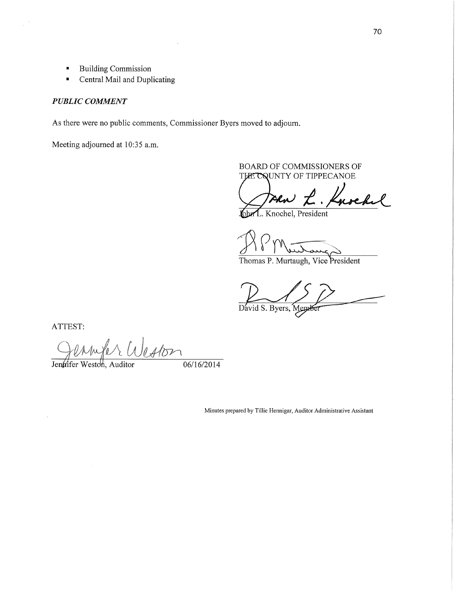- **I** Building Commission **I** Building Commission
- **Central Mail and Duplicating**

### *PUBLIC COMMENT PUBLIC COMMENT*

As there were no public comments, Commissioner Byers moved to adjourn. As there were no public comments, Commissioner Byers moved to adjourn.

Meeting adjourned at 10:35 a.m.

BOARD OF COMMISSIONERS OF THE COUNTY OF TIPPECANOE

L. Knochel

John L. Knochel, President

818 Murraug 811 Wie Langs

Thomas P. Murtaugh, Vice President Thomas P. Murtaugh, Vice President

David S. Byers, Member

**ATTEST: ATTEST:** 

 $\bar{z}$ 

 $\frac{1}{\omega}$ 

Jenárifer Weston, Auditor  $06/16/2014$ 

Minutes prepared by Tillie Hennigar, Auditor Administrative Assistant Minutes prepared by Tillie Hennigar, Auditor Administrative Assistant